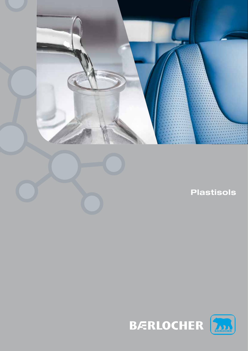

**Plastisols**



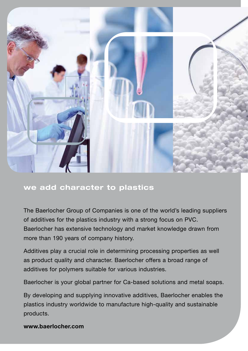

# **we add character to plastics**

The Baerlocher Group of Companies is one of the world's leading suppliers of additives for the plastics industry with a strong focus on PVC. Baerlocher has extensive technology and market knowledge drawn from more than 190 years of company history.

Additives play a crucial role in determining processing properties as well as product quality and character. Baerlocher offers a broad range of additives for polymers suitable for various industries.

Baerlocher is your global partner for Ca-based solutions and metal soaps.

By developing and supplying innovative additives, Baerlocher enables the plastics industry worldwide to manufacture high-quality and sustainable products.

**www.baerlocher.com**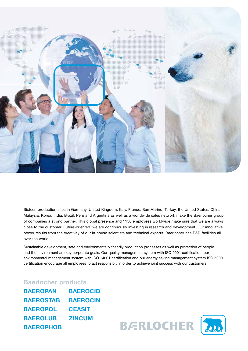

Sixteen production sites in Germany, United Kingdom, Italy, France, San Marino, Turkey, the United States, China, Malaysia, Korea, India, Brazil, Peru and Argentina as well as a worldwide sales network make the Baerlocher group of companies a strong partner. This global presence and 1150 employees worldwide make sure that we are always close to the customer. Future-oriented, we are continuously investing in research and development. Our innovative power results from the creativity of our in-house scientists and technical experts. Baerlocher has R&D facilities all over the world.

Sustainable development, safe and environmentally friendly production processes as well as protection of people and the environment are key corporate goals. Our quality management system with ISO 9001 certification, our environmental management system with ISO 14001 certification and our energy saving management system ISO 50001 certification encourage all employees to act responsibly in order to achieve joint success with our customers.

## **Baerlocher products**

| <b>BAEROPAN</b>  | <b>BAEROCID</b> |
|------------------|-----------------|
| <b>BAEROSTAB</b> | <b>BAEROCIN</b> |
| <b>BAEROPOL</b>  | <b>CEASIT</b>   |
| <b>BAEROLUB</b>  | <b>ZINCUM</b>   |
| <b>BAEROPHOB</b> |                 |

**BERLOCHER** 

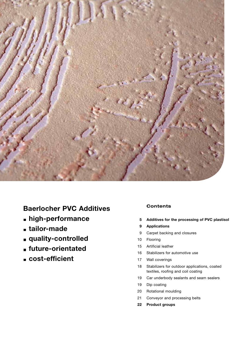

# **Baerlocher PVC Additives**

- **high-performance**
- **tailor-made**
- **quality-controlled**
- **future-orientated**
- **cost-efficient**

## **Contents**

- **Additives for the processing of PVC plastisol 5**
- **Applications 9**
- Carpet backing and closures 9
- Flooring 10
- Artificial leather 15
- Stabilizers for automotive use 16
- Wall coverings 17
- Stabilizers for outdoor applications, coated textiles, roofing and coil coating 18
- Car underbody sealants and seam sealers 19
- Dip coating 19
- Rotational moulding 20
- Conveyor and processing belts 21
- **Product groups 22**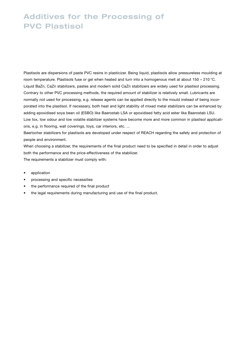# **Additives for the Processing of PVC Plastisol**

Plastisols are dispersions of paste PVC resins in plasticizer. Being liquid, plastisols allow pressureless moulding at room temperature. Plastisols fuse or gel when heated and turn into a homogenous melt at about 150 – 210 °C. Liquid BaZn, CaZn stabilizers, pastes and modern solid CaZn stabilizers are widely used for plastisol processing. Contrary to other PVC processing methods, the required amount of stabilizer is relatively small. Lubricants are normally not used for processing, e.g. release agents can be applied directly to the mould instead of being incorporated into the plastisol. If necessary, both heat and light stability of mixed metal stabilizers can be enhanced by adding epoxidised soya bean oil (ESBO) like Baerostab LSA or epoxidised fatty acid ester like Baerostab LSU. Low tox, low odour and low volatile stabilizer systems have become more and more common in plastisol applications, e.g. in flooring, wall coverings, toys, car interiors, etc. ...

Baerlocher stabilizers for plastisols are developed under respect of REACH regarding the safety and protection of people and environment.

When choosing a stabilizer, the requirements of the final product need to be specified in detail in order to adjust both the performance and the price-effectiveness of the stabilizer. The requirements a stabilizer must comply with:

- application
- processing and specific necessities
- the performance required of the final product
- the legal requirements during manufacturing and use of the final product.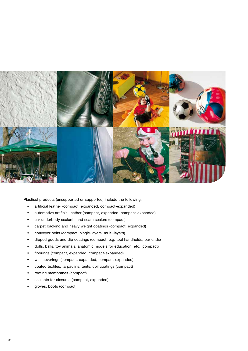

Plastisol products (unsupported or supported) include the following:

- • artificial leather (compact, expanded, compact-expanded)
- automotive artificial leather (compact, expanded, compact-expanded)
- car underbody sealants and seam sealers (compact)
- carpet backing and heavy weight coatings (compact, expanded)
- • conveyor belts (compact, single-layers, multi-layers)
- dipped goods and dip coatings (compact, e.g. tool handholds, bar ends)
- dolls, balls, toy animals, anatomic models for education, etc. (compact)
- floorings (compact, expanded, compact-expanded)
- wall coverings (compact, expanded, compact-expanded)
- coated textiles, tarpaulins, tents, coil coatings (compact)
- roofing membranes (compact)
- sealants for closures (compact, expanded)
- gloves, boots (compact)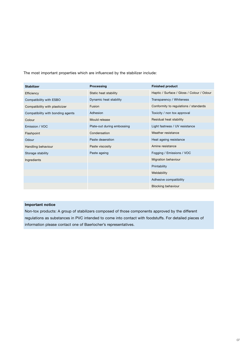The most important properties which are influenced by the stabilizer include:

| <b>Stabilizer</b>                 | Processing                 | <b>Finished product</b>                   |
|-----------------------------------|----------------------------|-------------------------------------------|
| Efficiency                        | Static heat stability      | Haptic / Surface / Gloss / Colour / Odour |
| Compatibility with ESBO           | Dynamic heat stability     | Transparency / Whiteness                  |
| Compatibility with plasticizer    | <b>Fusion</b>              | Conformity to regulations / standards     |
| Compatibility with bonding agents | Adhesion                   | Toxicity / non tox approval               |
| Colour                            | Mould release              | Residual heat stability                   |
| Emission / VOC                    | Plate-out during embossing | Light fastness / UV resistance            |
| Flashpoint                        | Condensation               | Weather resistance                        |
| Odour                             | Paste deaeration           | Heat ageing resistance                    |
| Handling behaviour                | Paste viscosity            | Amine resistance                          |
| Storage stability                 | Paste ageing               | Fogging / Emissions / VOC                 |
| Ingredients                       |                            | Migration behaviour                       |
|                                   |                            | Printability                              |
|                                   |                            | Weldability                               |
|                                   |                            | Adhesive compatibility                    |
|                                   |                            | <b>Blocking behaviour</b>                 |

### **Important notice**

Non-tox products: A group of stabilizers composed of those components approved by the different regulations as substances in PVC intended to come into contact with foodstuffs. For detailed pieces of information please contact one of Baerlocher's representatives.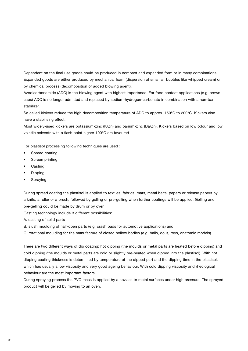Dependent on the final use goods could be produced in compact and expanded form or in many combinations. Expanded goods are either produced by mechanical foam (dispersion of small air bubbles like whipped cream) or by chemical process (decomposition of added blowing agent).

Azodicarbonamide (ADC) is the blowing agent with highest importance. For food contact applications (e.g. crown caps) ADC is no longer admitted and replaced by sodium-hydrogen-carbonate in combination with a non-tox stabilizer.

So called kickers reduce the high decomposition temperature of ADC to approx. 150°C to 200°C. Kickers also have a stabilising effect.

Most widely-used kickers are potassium-zinc (K/Zn) and barium-zinc (Ba/Zn). Kickers based on low odour and low volatile solvents with a flash point higher 100°C are favoured.

For plastisol processing following techniques are used :

- • Spread coating
- Screen printing
- **Casting**
- **Dipping**
- **Spraying**

During spread coating the plastisol is applied to textiles, fabrics, mats, metal belts, papers or release papers by a knife, a roller or a brush, followed by gelling or pre-gelling when further coatings will be applied. Gelling and pre-gelling could be made by drum or by oven.

Casting technology include 3 different possibilities:

A. casting of solid parts

B. slush moulding of half-open parts (e.g. crash pads for automotive applications) and

C. rotational moulding for the manufacture of closed hollow bodies (e.g. balls, dolls, toys, anatomic models)

There are two different ways of dip coating: hot dipping (the moulds or metal parts are heated before dipping) and cold dipping (the moulds or metal parts are cold or slightly pre-heated when dipped into the plastisol). With hot dipping coating thickness is determined by temperature of the dipped part and the dipping time in the plastisol, which has usually a low viscosity and very good ageing behaviour. With cold dipping viscosity and rheological behaviour are the most important factors.

During spraying process the PVC mass is applied by a nozzles to metal surfaces under high pressure. The sprayed product will be gelled by moving to an oven.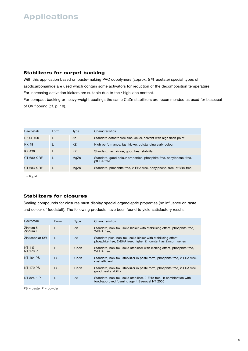# **Applications**

## **Stabilizers for carpet backing**

With this application based on paste-making PVC copolymers (approx. 5 % acetate) special types of azodicarbonamide are used which contain some activators for reduction of the decomposition temperature. For increasing activation kickers are suitable due to their high zinc content.

For compact backing or heavy-weight coatings the same CaZn stabilizers are recommended as used for basecoat of CV flooring (cf. p. 10).

| Baerostab   | Form | Type       | Characteristics                                                                   |
|-------------|------|------------|-----------------------------------------------------------------------------------|
| $L$ 144-100 |      | Zn         | Standard octoate free zinc kicker, solvent with high flash point                  |
| <b>KK48</b> |      | <b>KZn</b> | High performance, fast kicker, outstanding early colour                           |
| KK 430      |      | <b>KZn</b> | Standard, fast kicker, good heat stability                                        |
| CT 680 X RF |      | MgZn       | Standard, good colour properties, phosphite free, nonylphenol free,<br>ptBBA free |
| CT 683 X RF |      | MgZn       | Standard, phosphite free, 2-EHA free, nonylphenol free, ptBBA free,               |

 $L =$  liquid

## **Stabilizers for closures**

Sealing compounds for closures must display special organoleptic properties (no influence on taste and colour of foodstuff). The following products have been found to yield satisfactory results:

| Baerostab                        | Form      | <b>Type</b> | Characteristics                                                                                                                 |
|----------------------------------|-----------|-------------|---------------------------------------------------------------------------------------------------------------------------------|
| Zincum 5<br>Zincum T             | P         | Zn          | Standard, non-tox, solid kicker with stabilising effect, phosphite free,<br>2-EHA free.                                         |
| Zinkcaprilat SW                  | P         | Zn          | Standard plus, non-tox, solid kicker with stabilising effect,<br>phosphite free, 2-EHA free, higher Zn content as Zincum series |
| <b>NT 1 S</b><br><b>NT 170 P</b> | P         | CaZn        | Standard, non-tox, solid stabilizer with kicking effect, phosphite free,<br>2-EHA free                                          |
| <b>NT 164 PS</b>                 | <b>PS</b> | CaZn        | Standard, non-tox, stabilizer in paste form, phosphite free, 2-EHA free,<br>cost efficient                                      |
| <b>NT 170 PS</b>                 | <b>PS</b> | CaZn        | Standard, non-tox, stabilizer in paste form, phosphite free, 2-EHA free,<br>good heat stability                                 |
| NT 324-1 P                       | P         | Zn          | Standard, non-tox, solid stabilizer, 2-EHA free, in combination with<br>food-approved foaming agent Baerocel NT 2005            |

PS = paste; P = powder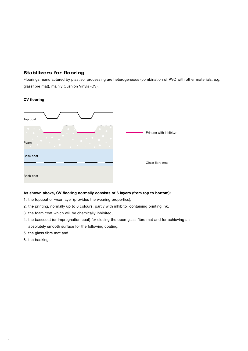## **Stabilizers for flooring**

Floorings manufactured by plastisol processing are heterogeneous (combination of PVC with other materials, e.g. glassfibre mat), mainly Cushion Vinyls (CV).

### **CV flooring**

| Top coat  |                         |
|-----------|-------------------------|
| Foam      | Printing with inhibitor |
| Base coat | Glass fibre mat         |
| Back coat |                         |

#### **As shown above, CV flooring normally consists of 6 layers (from top to bottom):**

- 1. the topcoat or wear layer (provides the wearing properties),
- 2. the printing, normally up to 6 colours, partly with inhibitor containing printing ink,
- 3. the foam coat which will be chemically inhibited,
- 4. the basecoat (or impregnation coat) for closing the open glass fibre mat and for achieving an absolutely smooth surface for the following coating,
- 5. the glass fibre mat and
- 6. the backing.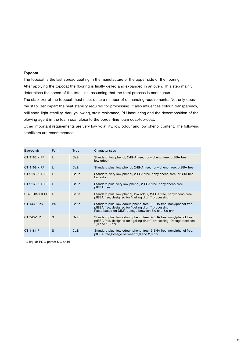#### **Topcoat**

The topcoat is the last spread coating in the manufacture of the upper side of the flooring. After applying the topcoat the flooring is finally gelled and expanded in an oven. This step mainly determines the speed of the total line, assuming that the total process is continuous. The stabilizer of the topcoat must meet quite a number of demanding requirements. Not only does

the stabilizer impart the heat stability required for processing, it also influences colour, transparency, brilliancy, light stability, dark yellowing, stain resistance, PU lacquering and the decomposition of the blowing agent in the foam coat close to the border-line foam coat/top-coat.

Other important requirements are very low volatility, low odour and low phenol content. The following stabilizers are recommended:

| Baerostab             | Form      | <b>Type</b> | Characteristics                                                                                                                                                                    |
|-----------------------|-----------|-------------|------------------------------------------------------------------------------------------------------------------------------------------------------------------------------------|
| CT 9183 X RF          | L         | CaZn        | Standard, low phenol, 2-EHA free, nonylphenol free, ptBBA free,<br>low odour                                                                                                       |
| CT 9169 X RF          | L         | CaZn        | Standard plus, low phenol, 2-EHA free, nonylphenol free, ptBBA free                                                                                                                |
| CT 9183 XLP RF        | L         | CaZn        | Standard, very low phenol, 2-EHA free, nonylphenol free, ptBBA free,<br>low odour                                                                                                  |
| CT 9169 XLP RF        | L         | CaZn        | Standard plus, very low phenol, 2-EHA free, nonylphenol free,<br>ptBBA free                                                                                                        |
| <b>UBZ 613-1 X RF</b> | L         | BaZn        | Standard plus, low phenol, low odour, 2-EHA free, nonylphenol free,<br>ptBBA free, designed for "gelling drum" processing,                                                         |
| CT 143-1 PS           | <b>PS</b> | CaZn        | Standard plus, low odour, phenol free, 2-EHA free, nonylphenol free,<br>ptBBA free, designed for "gelling drum" processing,<br>Paste based on DIDP, dosage between 3.0 and 5.0 phr |
| CT 343-1 P            | S         | CaZn        | Standard plus, low odour, phenol free, 2-EHA free, nonylphenol free,<br>ptBBA free, designed for "gelling drum" processing, Dosage between<br>1,0 and 1,5 phr                      |
| CT 1181 P             | S         | CaZn        | Standard plus, low odour, phenol free, 2-EHA free, nonylphenol free,<br>ptBBA free,Dosage between 1,0 and 2,0 phr                                                                  |

 $L =$  liquid;  $PS =$  paste;  $S =$  solid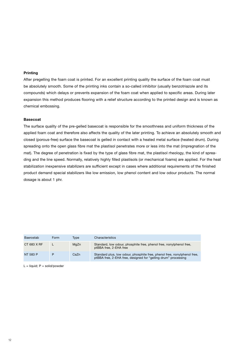#### **Printing**

After pregelling the foam coat is printed. For an excellent printing quality the surface of the foam coat must be absolutely smooth. Some of the printing inks contain a so-called inhibitor (usually benzotriazole and its compounds) which delays or prevents expansion of the foam coat when applied to specific areas. During later expansion this method produces flooring with a relief structure according to the printed design and is known as chemical embossing.

#### **Basecoat**

The surface quality of the pre-gelled basecoat is responsible for the smoothness and uniform thickness of the applied foam coat and therefore also affects the quality of the later printing. To achieve an absolutely smooth and closed (porous-free) surface the basecoat is gelled in contact with a heated metal surface (heated drum). During spreading onto the open glass fibre mat the plastisol penetrates more or less into the mat (impregnation of the mat). The degree of penetration is fixed by the type of glass fibre mat, the plastisol rheology, the kind of spreading and the line speed. Normally, relatively highly filled plastisols (or mechanical foams) are applied. For the heat stabilization inexpensive stabilizers are sufficient except in cases where additional requirements of the finished product demand special stabilizers like low emission, low phenol content and low odour products. The normal dosage is about 1 phr.

| Baerostab   | Form | Tvpe | Characteristics                                                                                                                            |
|-------------|------|------|--------------------------------------------------------------------------------------------------------------------------------------------|
| CT 683 X RF |      | MgZn | Standard, low odour, phosphite free, phenol free, nonylphenol free,<br>ptBBA free, 2-EHA free                                              |
| NT 583 P    | P    | CaZn | Standard plus, low odour, phosphite free, phenol free, nonylphenol free,<br>ptBBA free, 2-EHA free, designed for "gelling drum" processing |

 $L =$  liquid;  $P =$  solid/powder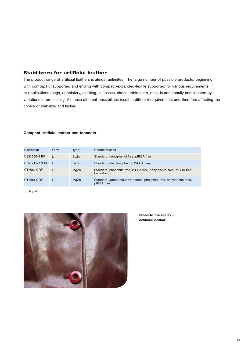## **Stabilizers for artificial leather**

The product range of artificial leathers is almost unlimited. The large number of possible products, beginning with compact unsupported and ending with compact-expanded-textile supported for various requirements or applications (bags, upholstery, clothing, suitcases, shoes, table cloth, etc.), is additionally complicated by variations in processing. All these different possibilities result in different requirements and therefore affecting the choice of stabilizer and kicker.

#### **Compact artificial leather and topcoats**

| Baerostab             | Form | Type | Characteristics                                                                   |
|-----------------------|------|------|-----------------------------------------------------------------------------------|
| UBZ 660-4 RF          |      | BaZn | Standard, nonylphenol free, ptBBA free                                            |
| <b>UBZ 711-1 X RF</b> |      | BaZn | Standard plus, low phenol, 2-EHA free,                                            |
| CT 683 X RF           |      | MgZn | Standard, phosphite free, 2-EHA free, nonylphenol free, ptBBA free,<br>low odour  |
| CT 680 X RF           |      | MgZn | Standard, good colour properties, phosphite free, nonylphenol free,<br>ptBBA free |

 $L =$  liquid



**Close to the reality – artificial leather**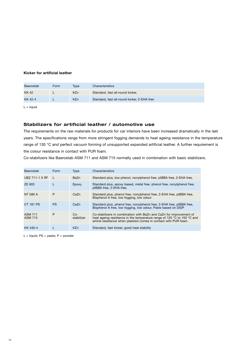### **Kicker for artificial leather**

| Baerostab | Form | Tvpe       | Characteristics                             |
|-----------|------|------------|---------------------------------------------|
| KK 42     |      | <b>KZn</b> | Standard, fast all-round kicker,            |
| KK 42-4   |      | <b>KZn</b> | Standard, fast all-round kicker, 2-EHA free |

 $L =$  liquid

## **Stabilizers for artificial leather / automotive use**

The requirements on the raw materials for products for car interiors have been increased dramatically in the last years. The specifications range from more stringent fogging demands to heat ageing resistance in the temperature range of 130 °C and perfect vacuum forming of unsupported expanded artificial leather. A further requirement is the colour resistance in contact with PUR foam.

Co-stabilizers like Baerostab ASM 711 and ASM 715 normally used in combination with basic stabilizers.

| Baerostab                        | Form      | Type                | Characteristics                                                                                                                                                                                                   |
|----------------------------------|-----------|---------------------|-------------------------------------------------------------------------------------------------------------------------------------------------------------------------------------------------------------------|
| <b>UBZ 711-1 X RF</b>            |           | BaZn                | Standard plus, low phenol, nonylphenol free, ptBBA free, 2-EHA free,                                                                                                                                              |
| ZE 603                           | L         | Epoxy               | Standard plus, epoxy based, metal free, phenol free, nonylphenol free,<br>ptBBA free, 2-EHA free,                                                                                                                 |
| NT 580 A                         | P         | CaZn                | Standard plus, phenol free, nonylphenol free, 2-EHA free, ptBBA free,<br>Bisphenol A free, low fogging, low odour                                                                                                 |
| CT 181 PS                        | <b>PS</b> | CaZn                | Standard plus, phenol free, nonylphenol free, 2-EHA free, ptBBA free,<br>Bisphenol A free, low fogging, low odour, Paste based on DIDP                                                                            |
| <b>ASM 711</b><br><b>ASM 715</b> | P         | $Co-$<br>stabilizer | Co-stabilizers in combination with BaZn and CaZn for improvement of<br>heat ageing resistance in the temperature range of 120 °C to 150 °C and<br>amine resistance when plastisol comes in contact with PUR foam. |
| KK 430-4                         |           | <b>KZn</b>          | Standard, fast kicker, good heat stability                                                                                                                                                                        |

 $L =$  liquid; PS = paste; P = powder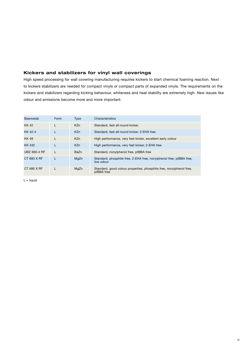## **Kickers and stabilizers for vinyl wall coverings**

High speed processing for wall covering manufacturing requires kickers to start chemical foaming reaction. Next to kickers stabilizers are needed for compact vinyls or compact parts of expanded vinyls. The requirements on the kickers and stabilizers regarding kicking behaviour, whiteness and heat stability are extremely high. New issues like odour and emissions become more and more important.

| Baerostab    | Form | <b>Type</b>     | Characteristics                                                                   |
|--------------|------|-----------------|-----------------------------------------------------------------------------------|
| KK 42        |      | <b>KZn</b>      | Standard, fast all-round kicker,                                                  |
| KK 42-4      | L    | KZ <sub>n</sub> | Standard, fast all-round kicker, 2-EHA free                                       |
| <b>KK48</b>  | L    | <b>KZn</b>      | High performance, very fast kicker, excellent early colour                        |
| <b>KK432</b> | L    | KZ <sub>n</sub> | High performance, very fast kicker, 2-EHA free                                    |
| UBZ 660-4 RF |      | BaZn            | Standard, nonylphenol free, ptBBA free                                            |
| CT 683 X RF  |      | MgZn            | Standard, phosphite free, 2-EHA free, nonylphenol free, ptBBA free,<br>low odour  |
| CT 680 X RF  |      | MgZn            | Standard, good colour properties, phosphite free, nonylphenol free,<br>ptBBA free |

 $L =$  liquid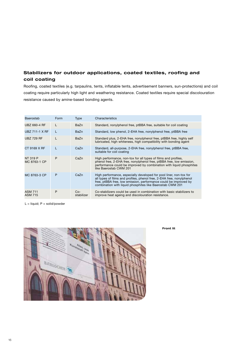## **Stabilizers for outdoor applications, coated textiles, roofing and coil coating**

Roofing, coated textiles (e.g. tarpaulins, tents, inflatable tents, advertisement banners, sun-protections) and coil coating require particularly high light and weathering resistance. Coated textiles require special discolouration resistance caused by amine-based bonding agents.

| Baerostab                        | Form | Type                | Characteristics                                                                                                                                                                                                                                                              |
|----------------------------------|------|---------------------|------------------------------------------------------------------------------------------------------------------------------------------------------------------------------------------------------------------------------------------------------------------------------|
| UBZ 660-4 RF                     | L    | BaZn                | Standard, nonylphenol free, ptBBA free, suitable for coil coating                                                                                                                                                                                                            |
| <b>UBZ 711-1 X RF</b>            | L    | BaZn                | Standard, low phenol, 2-EHA free, nonylphenol free, ptBBA free                                                                                                                                                                                                               |
| <b>UBZ 729 RF</b>                |      | BaZn                | Standard plus, 2-EHA free, nonylphenol free, ptBBA free, highly self<br>lubricated, high whiteness, high compatibility with bonding agent                                                                                                                                    |
| CT 9169 X RF                     |      | CaZn                | Standard, all-purpose, 2-EHA free, nonylphenol free, ptBBA free,<br>suitable for coil coating                                                                                                                                                                                |
| NT 319 P<br>MC 8763-1 CP         | P    | CaZn                | High performance, non-tox for all types of films and profiles,<br>phenol free, 2-EHA free, nonylphenol free, ptBBA free, low emission,<br>performance could be improved by combination with liquid phosphites<br>like Baerostab CWM 201                                      |
| MC 8763-3 CP                     | P    | CaZn                | High performance, especially developed for pool liner, non-tox for<br>all types of films and profiles, phenol free, 2-EHA free, nonylphenol<br>free, ptBBA free, low emission, performance could be improved by<br>combination with liquid phosphites like Baerostab CWM 201 |
| <b>ASM 711</b><br><b>ASM 715</b> | P    | $Co-$<br>stabilizer | Co-stabilizers could be used in combination with basic stabilizers to<br>improve heat ageing and discolouration resistance.                                                                                                                                                  |

 $L =$  liquid;  $P =$  solid/powder



**Front lit**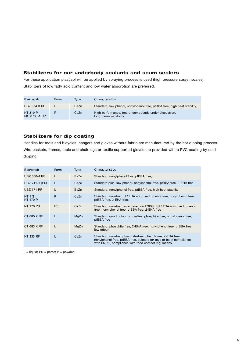## **Stabilizers for car underbody sealants and seam sealers**

For these application plastisol will be applied by spraying process is used (high pressure spray nozzles). Stabilizers of low fatty acid content and low water absorption are preferred.

| Baerostab                       | Form | Tvpe | Characteristics                                                                |
|---------------------------------|------|------|--------------------------------------------------------------------------------|
| <b>UBZ 674 X RF</b>             |      | BaZn | Standard, low phenol, nonylphenol free, ptBBA free, high heat stability,       |
| <b>NT 319 P</b><br>MC 8763-1 CP |      | CaZn | High performance, free of compounds under discussion,<br>long thermo-stability |

## **Stabilizers for dip coating**

Handles for tools and bicycles, hangers and gloves without fabric are manufactured by the hot dipping process. Wire baskets, frames, table and chair legs or textile supported gloves are provided with a PVC coating by cold dipping.

| Baerostab                        | Form      | Type | Characteristics                                                                                                                                                                            |
|----------------------------------|-----------|------|--------------------------------------------------------------------------------------------------------------------------------------------------------------------------------------------|
| <b>UBZ 660-4 RF</b>              | L         | BaZn | Standard, nonylphenol free, ptBBA free,                                                                                                                                                    |
| <b>UBZ 711-1 X RF</b>            | L         | BaZn | Standard plus, low phenol, nonylphenol free, ptBBA free, 2-EHA free                                                                                                                        |
| <b>UBZ 771 RF</b>                |           | BaZn | Standard, nonylphenol free, ptBBA free, high heat stability                                                                                                                                |
| <b>NT 1 S</b><br><b>NT 170 P</b> | P         | CaZn | Standard, non-tox EC / FDA approved, phenol free, nonylphenol free,<br>ptBBA free, 2-EHA free,                                                                                             |
| <b>NT 170 PS</b>                 | <b>PS</b> | CaZn | Standard, non-tox paste based on ESBO, EC / FDA approved, phenol<br>free, nonylphenol free, ptBBA free, 2-EHA free                                                                         |
| CT 680 X RF                      | L         | MgZn | Standard, good colour properties, phosphite free, nonylphenol free,<br>ptBBA free                                                                                                          |
| CT 683 X RF                      | L         | MgZn | Standard, phosphite free, 2-EHA free, nonylphenol free, ptBBA free,<br>low odour                                                                                                           |
| NT 333 RF                        | L         | CaZn | Standard, non-tox, phosphite-free, phenol-free, 2-EHA free,<br>nonylphenol free, ptBBA free, suitable for toys to be in compliance<br>with EN 71, compliance with food contact regulations |

 $L =$  liquid; PS = paste; P = powder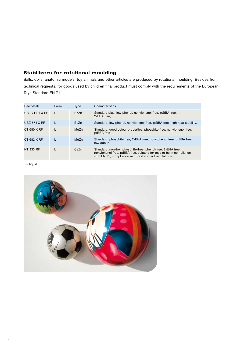## **Stabilizers for rotational moulding**

Balls, dolls, anatomic models, toy animals and other articles are produced by rotational moulding. Besides from technical requests, for goods used by children final product must comply with the requirements of the European Toys Standard EN 71.

| Baerostab             | Form | <b>Type</b> | Characteristics                                                                                                                                                                            |  |
|-----------------------|------|-------------|--------------------------------------------------------------------------------------------------------------------------------------------------------------------------------------------|--|
| <b>UBZ 711-1 X RF</b> |      | BaZn        | Standard plus, low phenol, nonylphenol free, ptBBA free,<br>2-EHA free.                                                                                                                    |  |
| <b>UBZ 674 X RF</b>   |      | BaZn        | Standard, low phenol, nonylphenol free, ptBBA free, high heat stability,                                                                                                                   |  |
| CT 680 X RF           |      | MgZn        | Standard, good colour properties, phosphite free, nonylphenol free,<br>ptBBA free                                                                                                          |  |
| CT 682 X RF           |      | MgZn        | Standard, phosphite free, 2-EHA free, nonylphenol free, ptBBA free,<br>low odour                                                                                                           |  |
| NT 333 RF             |      | CaZn        | Standard, non-tox, phosphite-free, phenol-free, 2-EHA free,<br>nonylphenol free, ptBBA free, suitable for toys to be in compliance<br>with EN 71, compliance with food contact regulations |  |

 $L =$  liquid

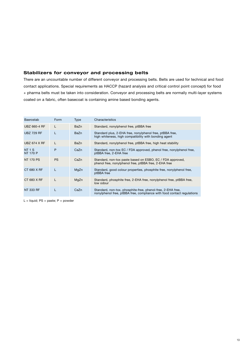## **Stabilizers for conveyor and processing belts**

There are an uncountable number of different conveyor and processing belts. Belts are used for technical and food contact applications. Special requirements as HACCP (hazard analysis and critical control point concept) for food + pharma belts must be taken into consideration. Conveyor and processing belts are normally multi-layer systems coated on a fabric, often basecoat is containing amine based bonding agents.

| Baerostab                        | Form      | Type | Characteristics                                                                                                                       |  |
|----------------------------------|-----------|------|---------------------------------------------------------------------------------------------------------------------------------------|--|
| UBZ 660-4 RF                     | L         | BaZn | Standard, nonylphenol free, ptBBA free                                                                                                |  |
| <b>UBZ 729 RF</b>                |           | BaZn | Standard plus, 2-EHA free, nonylphenol free, ptBBA free,<br>high whiteness, high compatibility with bonding agent                     |  |
| <b>UBZ 674 X RF</b>              | L         | BaZn | Standard, nonylphenol free, ptBBA free, high heat stability                                                                           |  |
| <b>NT 1 S</b><br><b>NT 170 P</b> | P         | CaZn | Standard, non-tox EC / FDA approved, phenol free, nonylphenol free,<br>ptBBA free, 2-EHA free                                         |  |
| <b>NT 170 PS</b>                 | <b>PS</b> | CaZn | Standard, non-tox paste based on ESBO, EC / FDA approved,<br>phenol free, nonylphenol free, ptBBA free, 2-EHA free                    |  |
| CT 680 X RF                      | L         | MgZn | Standard, good colour properties, phosphite free, nonylphenol free,<br>ptBBA free                                                     |  |
| CT 683 X RF                      |           | MgZn | Standard, phosphite free, 2-EHA free, nonylphenol free, ptBBA free,<br>low odour                                                      |  |
| NT 333 RF                        |           | CaZn | Standard, non-tox, phosphite-free, phenol-free, 2-EHA free,<br>nonylphenol free, ptBBA free, compliance with food contact regulations |  |

 $L =$  liquid; PS = paste; P = powder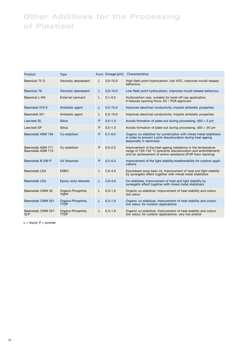# **Other Additives for the Processing of Plastisol**

| Product                                | Type                             |   | Form Dosage [phr] | Characteristics                                                                                                                                                                               |
|----------------------------------------|----------------------------------|---|-------------------|-----------------------------------------------------------------------------------------------------------------------------------------------------------------------------------------------|
| Baerolub 72 O                          | Viscosity depressant             | L | $3,0 - 10,0$      | High flash point hydrocarbon, low VOC, improves mould release<br>behaviour,                                                                                                                   |
| Baerolub 76                            | Viscosity depressant             | L | $3,0 - 10,0$      | Low flash point hydrocarbon, improves mould release behaviour                                                                                                                                 |
| Baerolub L-KK                          | External lubricant               | L | $0, 1 - 0, 5$     | Hydrocarbon wax, suitable for twist-off cap application,<br>it reduces opening force, EC / FDA approved                                                                                       |
| Baerostat 318 S                        | Antistatic agent                 | L | $0,5 - 10,0$      | Improves electrical conductivity, imparts antistatic properties                                                                                                                               |
| Baerostat 351                          | Antistatic agent                 | L | $0,5 - 10,0$      | Improves electrical conductivity, imparts antistatic properties                                                                                                                               |
| <b>Laevisiel SL</b>                    | Silica                           | P | $0,5 - 1,0$       | Avoids formation of plate-out during processing, $d50 = 5 \mu m$                                                                                                                              |
| <b>Laevisiel SP</b>                    | <b>Silica</b>                    | P | $0,5 - 1,0$       | Avoids formation of plate-out during processing, $d50 = 20 \mu m$                                                                                                                             |
| Baerostab ASM 104                      | Co-stabilizer                    | P | $0, 1 - 0, 5$     | Organic co-stabilizer for combination with mixed metal stabilizers<br>in order to prevent a pink discolouration during heat ageing<br>(especially in darkness)                                |
| Baerostab ASM 711<br>Baerostab ASM 715 | Co-stabilizer                    | P | $0,5 - 2,5$       | Improvement of the heat ageing resistance in the temperature<br>range of 120-150 °C (prevents discolouration and embrittlement)<br>and for achievement of amine resistance (PUR foam backing) |
| Baerostab B 200 P                      | <b>UV Absorber</b>               | P | $0,2 - 0,4$       | Improvement of the light stability/weatherability for outdoor appli-<br>cations                                                                                                               |
| Baerostab LSA                          | <b>ESBO</b>                      | L | $2,0-4,0$         | Epoxidised soya bean oil, improvement of heat and light stability<br>by synergetic effect together with mixed metal stabilizers                                                               |
| Baerostab LSU                          | Epoxy octyl stearate             | L | $2,0-4,0$         | Co-stabilizer, improvement of heat and light stability by<br>synergetic effect together with mixed metal stabilizers                                                                          |
| Baerostab CWM 35                       | Organo-Phosphite,<br><b>TNPP</b> | L | $0,3 - 1,0$       | Organic co-stabilizer, improvement of heat stability and colour,<br>low odour                                                                                                                 |
| Baerostab CWM 201                      | Organo-Phosphite,<br><b>TTDP</b> | L | $0,3 - 1,0$       | Organic co-stabilizer, improvement of heat stability and colour,<br>low odour, for outdoor applications                                                                                       |
| Baerostab CWM 201<br><b>XLP</b>        | Organo-Phosphite,<br><b>TTDP</b> | L | $0,3 - 1,0$       | Organic co-stabilizer, improvement of heat stability and colour,<br>low odour, for outdoor applications, very low phenol                                                                      |

 $L =$  liquid;  $P =$  powder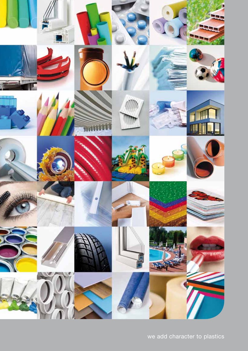

we add character to plastics